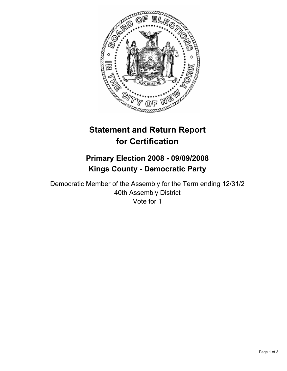

# **Statement and Return Report for Certification**

# **Primary Election 2008 - 09/09/2008 Kings County - Democratic Party**

Democratic Member of the Assembly for the Term ending 12/31/2 40th Assembly District Vote for 1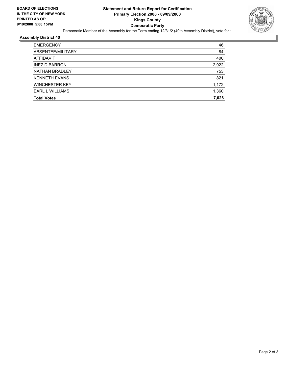

### **Assembly District 40**

| <b>EMERGENCY</b>       | 46    |
|------------------------|-------|
| ABSENTEE/MILITARY      | 84    |
| AFFIDAVIT              | 400   |
| <b>INEZ D BARRON</b>   | 2,922 |
| <b>NATHAN BRADLEY</b>  | 753   |
| <b>KENNETH EVANS</b>   | 821   |
| <b>WINCHESTER KEY</b>  | 1,172 |
| <b>EARL L WILLIAMS</b> | 1,360 |
| <b>Total Votes</b>     | 7,028 |
|                        |       |